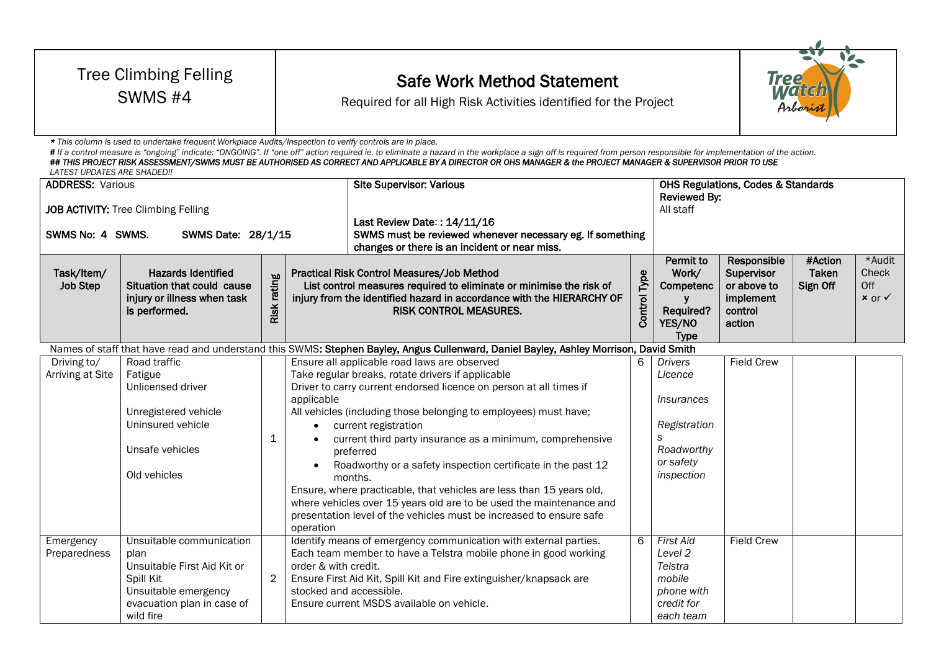| <b>Tree Climbing Felling</b><br>SWMS #4<br>* This column is used to undertake frequent Workplace Audits/Inspection to verify controls are in place.<br>LATEST UPDATES ARE SHADED!! |                                                                                                                                                          |                |                                                 | <b>Safe Work Method Statement</b><br>Required for all High Risk Activities identified for the Project<br># If a control measure is "ongoing" indicate: "ONGOING". If "one off" action required ie. to eliminate a hazard in the workplace a sign off is required from person responsible for implementation of the action.<br>## THIS PROJECT RISK ASSESSMENT/SWMS MUST BE AUTHORISED AS CORRECT AND APPLICABLE BY A DIRECTOR OR OHS MANAGER & the PROJECT MANAGER & SUPERVISOR PRIOR TO USE                                                                                                                                                                                                                                                                                                                                                                |                     |                                                                                                                           |                                                                            | Tree                                |                                               |  |
|------------------------------------------------------------------------------------------------------------------------------------------------------------------------------------|----------------------------------------------------------------------------------------------------------------------------------------------------------|----------------|-------------------------------------------------|-------------------------------------------------------------------------------------------------------------------------------------------------------------------------------------------------------------------------------------------------------------------------------------------------------------------------------------------------------------------------------------------------------------------------------------------------------------------------------------------------------------------------------------------------------------------------------------------------------------------------------------------------------------------------------------------------------------------------------------------------------------------------------------------------------------------------------------------------------------|---------------------|---------------------------------------------------------------------------------------------------------------------------|----------------------------------------------------------------------------|-------------------------------------|-----------------------------------------------|--|
| <b>ADDRESS:</b> Various<br>JOB ACTIVITY: Tree Climbing Felling<br>SWMS No: 4 SWMS.<br>SWMS Date: 28/1/15                                                                           |                                                                                                                                                          |                |                                                 | <b>Site Supervisor: Various</b><br>Reviewed By:<br>All staff<br>Last Review Date:: 14/11/16<br>SWMS must be reviewed whenever necessary eg. If something<br>changes or there is an incident or near miss.                                                                                                                                                                                                                                                                                                                                                                                                                                                                                                                                                                                                                                                   |                     |                                                                                                                           | <b>OHS Regulations, Codes &amp; Standards</b>                              |                                     |                                               |  |
| Task/Item/<br><b>Job Step</b>                                                                                                                                                      | <b>Hazards Identified</b><br>Situation that could cause<br>injury or illness when task<br>is performed.                                                  | Risk rating    |                                                 | Practical Risk Control Measures/Job Method<br>List control measures required to eliminate or minimise the risk of<br>injury from the identified hazard in accordance with the HIERARCHY OF<br><b>RISK CONTROL MEASURES.</b>                                                                                                                                                                                                                                                                                                                                                                                                                                                                                                                                                                                                                                 | <b>Control Type</b> | Permit to<br>Work/<br>Competenc<br>Required?<br>YES/NO<br><b>Type</b>                                                     | Responsible<br>Supervisor<br>or above to<br>implement<br>control<br>action | #Action<br><b>Taken</b><br>Sign Off | *Audit<br>Check<br>Off<br>$x$ or $\checkmark$ |  |
| Driving to/<br>Arriving at Site<br>Emergency                                                                                                                                       | Road traffic<br>Fatigue<br>Unlicensed driver<br>Unregistered vehicle<br>Uninsured vehicle<br>Unsafe vehicles<br>Old vehicles<br>Unsuitable communication | $\mathbf 1$    | applicable<br>$\bullet$<br>operation            | Names of staff that have read and understand this SWMS: Stephen Bayley, Angus Cullenward, Daniel Bayley, Ashley Morrison, David Smith<br>Ensure all applicable road laws are observed<br>Take regular breaks, rotate drivers if applicable<br>Driver to carry current endorsed licence on person at all times if<br>All vehicles (including those belonging to employees) must have;<br>current registration<br>current third party insurance as a minimum, comprehensive<br>preferred<br>Roadworthy or a safety inspection certificate in the past 12<br>months.<br>Ensure, where practicable, that vehicles are less than 15 years old,<br>where vehicles over 15 years old are to be used the maintenance and<br>presentation level of the vehicles must be increased to ensure safe<br>Identify means of emergency communication with external parties. | 6<br>6              | <b>Drivers</b><br>Licence<br><i>Insurances</i><br>Registration<br>S<br>Roadworthy<br>or safety<br>inspection<br>First Aid | <b>Field Crew</b><br>Field Crew                                            |                                     |                                               |  |
| Preparedness                                                                                                                                                                       | plan<br>Unsuitable First Aid Kit or<br>Spill Kit<br>Unsuitable emergency<br>evacuation plan in case of<br>wild fire                                      | $\overline{2}$ | order & with credit.<br>stocked and accessible. | Each team member to have a Telstra mobile phone in good working<br>Ensure First Aid Kit, Spill Kit and Fire extinguisher/knapsack are<br>Ensure current MSDS available on vehicle.                                                                                                                                                                                                                                                                                                                                                                                                                                                                                                                                                                                                                                                                          |                     | Level 2<br>Telstra<br>mobile<br>phone with<br>credit for<br>each team                                                     |                                                                            |                                     |                                               |  |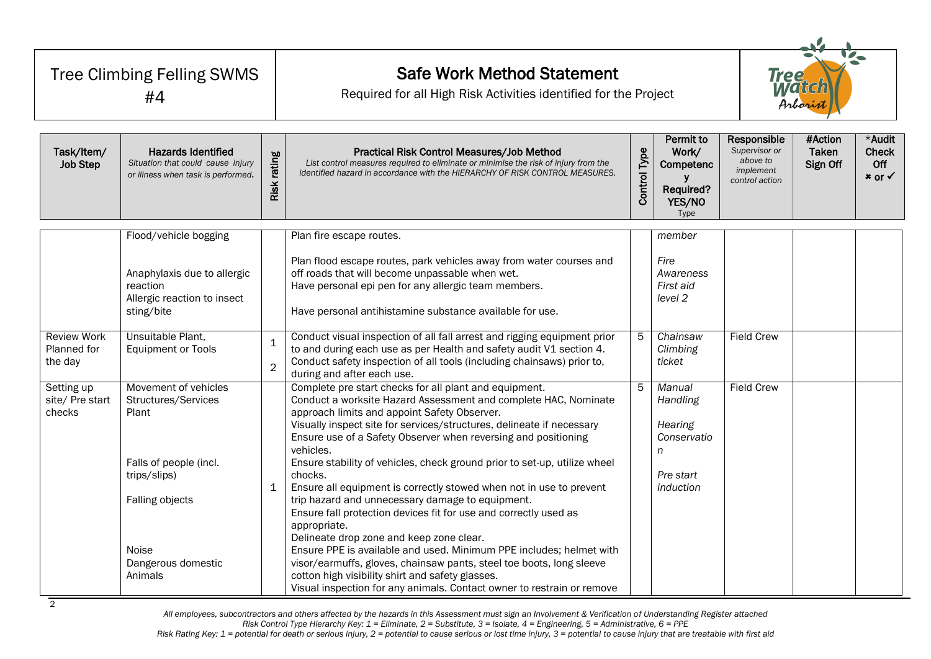| <b>Tree Climbing Felling SWMS</b><br>#4      |                                                                                                                                                                    |                                | <b>Safe Work Method Statement</b><br>Required for all High Risk Activities identified for the Project                                                                                                                                                                                                                                                                                                                                                                                                                                                                                                                                                                                                                                                                                                                                                                                                                                                             |                     |                                                                                    |                                                                         | <b>Tree</b><br>Match<br>Arborist |                                               |  |
|----------------------------------------------|--------------------------------------------------------------------------------------------------------------------------------------------------------------------|--------------------------------|-------------------------------------------------------------------------------------------------------------------------------------------------------------------------------------------------------------------------------------------------------------------------------------------------------------------------------------------------------------------------------------------------------------------------------------------------------------------------------------------------------------------------------------------------------------------------------------------------------------------------------------------------------------------------------------------------------------------------------------------------------------------------------------------------------------------------------------------------------------------------------------------------------------------------------------------------------------------|---------------------|------------------------------------------------------------------------------------|-------------------------------------------------------------------------|----------------------------------|-----------------------------------------------|--|
| Task/Item/<br><b>Job Step</b>                | <b>Hazards Identified</b><br>Situation that could cause injury<br>or illness when task is performed.                                                               | rating<br>Risk <sub>I</sub>    | Practical Risk Control Measures/Job Method<br>List control measures required to eliminate or minimise the risk of injury from the<br>identified hazard in accordance with the HIERARCHY OF RISK CONTROL MEASURES.                                                                                                                                                                                                                                                                                                                                                                                                                                                                                                                                                                                                                                                                                                                                                 | <b>Control Type</b> | Permit to<br>Work/<br>Competenc<br>Required?<br>YES/NO<br>Type                     | Responsible<br>Supervisor or<br>above to<br>implement<br>control action | #Action<br>Taken<br>Sign Off     | *Audit<br>Check<br>Off<br>$x$ or $\checkmark$ |  |
|                                              | Flood/vehicle bogging                                                                                                                                              |                                | Plan fire escape routes.                                                                                                                                                                                                                                                                                                                                                                                                                                                                                                                                                                                                                                                                                                                                                                                                                                                                                                                                          |                     | member                                                                             |                                                                         |                                  |                                               |  |
|                                              | Anaphylaxis due to allergic<br>reaction<br>Allergic reaction to insect<br>sting/bite                                                                               |                                | Plan flood escape routes, park vehicles away from water courses and<br>off roads that will become unpassable when wet.<br>Have personal epi pen for any allergic team members.<br>Have personal antihistamine substance available for use.                                                                                                                                                                                                                                                                                                                                                                                                                                                                                                                                                                                                                                                                                                                        |                     | Fire<br>Awareness<br>First aid<br>level 2                                          |                                                                         |                                  |                                               |  |
| <b>Review Work</b><br>Planned for<br>the day | Unsuitable Plant,<br><b>Equipment or Tools</b>                                                                                                                     | $\mathbf{1}$<br>$\overline{2}$ | Conduct visual inspection of all fall arrest and rigging equipment prior<br>to and during each use as per Health and safety audit V1 section 4.<br>Conduct safety inspection of all tools (including chainsaws) prior to,<br>during and after each use.                                                                                                                                                                                                                                                                                                                                                                                                                                                                                                                                                                                                                                                                                                           | 5                   | Chainsaw<br>Climbing<br>ticket                                                     | <b>Field Crew</b>                                                       |                                  |                                               |  |
| Setting up<br>site/ Pre start<br>checks      | Movement of vehicles<br>Structures/Services<br>Plant<br>Falls of people (incl.<br>trips/slips)<br>Falling objects<br><b>Noise</b><br>Dangerous domestic<br>Animals | $\mathbf{1}$                   | Complete pre start checks for all plant and equipment.<br>Conduct a worksite Hazard Assessment and complete HAC, Nominate<br>approach limits and appoint Safety Observer.<br>Visually inspect site for services/structures, delineate if necessary<br>Ensure use of a Safety Observer when reversing and positioning<br>vehicles.<br>Ensure stability of vehicles, check ground prior to set-up, utilize wheel<br>chocks.<br>Ensure all equipment is correctly stowed when not in use to prevent<br>trip hazard and unnecessary damage to equipment.<br>Ensure fall protection devices fit for use and correctly used as<br>appropriate.<br>Delineate drop zone and keep zone clear.<br>Ensure PPE is available and used. Minimum PPE includes; helmet with<br>visor/earmuffs, gloves, chainsaw pants, steel toe boots, long sleeve<br>cotton high visibility shirt and safety glasses.<br>Visual inspection for any animals. Contact owner to restrain or remove | 5                   | Manual<br>Handling<br><b>Hearing</b><br>Conservatio<br>n<br>Pre start<br>induction | <b>Field Crew</b>                                                       |                                  |                                               |  |

*All employees, subcontractors and others affected by the hazards in this Assessment must sign an Involvement & Verification of Understanding Register attached Risk Control Type Hierarchy Key: 1 = Eliminate, 2 = Substitute, 3 = Isolate, 4 = Engineering, 5 = Administrative, 6 = PPE*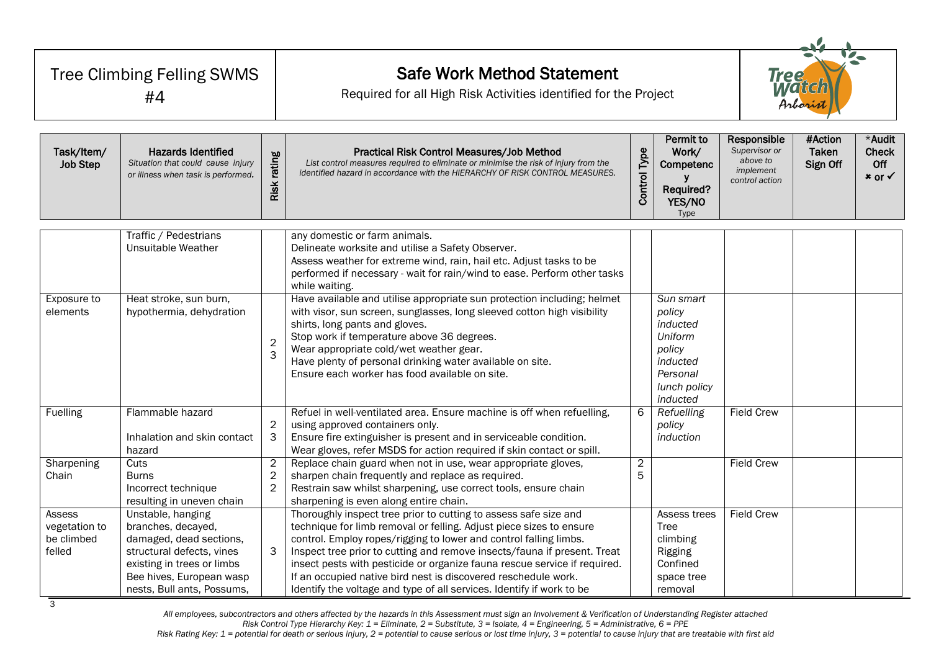| Tree Climbing Felling SWMS<br>#4                |                                                                                                                                                                                         |                                                  | <b>Safe Work Method Statement</b><br>Required for all High Risk Activities identified for the Project                                                                                                                                                                                                                                                                                                                                                                                                            |                     |                                                                                                          |                                                                         | <b>Tree</b><br><b>Match</b><br>Arborist |                                                      |  |
|-------------------------------------------------|-----------------------------------------------------------------------------------------------------------------------------------------------------------------------------------------|--------------------------------------------------|------------------------------------------------------------------------------------------------------------------------------------------------------------------------------------------------------------------------------------------------------------------------------------------------------------------------------------------------------------------------------------------------------------------------------------------------------------------------------------------------------------------|---------------------|----------------------------------------------------------------------------------------------------------|-------------------------------------------------------------------------|-----------------------------------------|------------------------------------------------------|--|
| Task/Item/<br>Job Step                          | <b>Hazards Identified</b><br>Situation that could cause injury<br>or illness when task is performed.                                                                                    | Risk rating                                      | Practical Risk Control Measures/Job Method<br>List control measures required to eliminate or minimise the risk of injury from the<br>identified hazard in accordance with the HIERARCHY OF RISK CONTROL MEASURES.                                                                                                                                                                                                                                                                                                | <b>Control Type</b> | <b>Permit to</b><br>Work/<br>Competenc<br>Required?<br>YES/NO<br>Type                                    | Responsible<br>Supervisor or<br>above to<br>implement<br>control action | #Action<br><b>Taken</b><br>Sign Off     | *Audit<br><b>Check</b><br>Off<br>$x$ or $\checkmark$ |  |
|                                                 | Traffic / Pedestrians<br>Unsuitable Weather                                                                                                                                             |                                                  | any domestic or farm animals.<br>Delineate worksite and utilise a Safety Observer.<br>Assess weather for extreme wind, rain, hail etc. Adjust tasks to be<br>performed if necessary - wait for rain/wind to ease. Perform other tasks<br>while waiting.                                                                                                                                                                                                                                                          |                     |                                                                                                          |                                                                         |                                         |                                                      |  |
| Exposure to<br>elements                         | Heat stroke, sun burn,<br>hypothermia, dehydration                                                                                                                                      | $\overline{2}$<br>$\overline{3}$                 | Have available and utilise appropriate sun protection including; helmet<br>with visor, sun screen, sunglasses, long sleeved cotton high visibility<br>shirts, long pants and gloves.<br>Stop work if temperature above 36 degrees.<br>Wear appropriate cold/wet weather gear.<br>Have plenty of personal drinking water available on site.<br>Ensure each worker has food available on site.                                                                                                                     |                     | Sun smart<br>policy<br>inducted<br>Uniform<br>policy<br>inducted<br>Personal<br>lunch policy<br>inducted |                                                                         |                                         |                                                      |  |
| Fuelling                                        | Flammable hazard<br>Inhalation and skin contact<br>hazard                                                                                                                               | $\overline{c}$<br>3                              | Refuel in well-ventilated area. Ensure machine is off when refuelling,<br>using approved containers only.<br>Ensure fire extinguisher is present and in serviceable condition.<br>Wear gloves, refer MSDS for action required if skin contact or spill.                                                                                                                                                                                                                                                          | 6                   | Refuelling<br>policy<br>induction                                                                        | <b>Field Crew</b>                                                       |                                         |                                                      |  |
| Sharpening<br>Chain                             | Cuts<br><b>Burns</b><br>Incorrect technique<br>resulting in uneven chain                                                                                                                | $\overline{c}$<br>$\mathbf{2}$<br>$\overline{2}$ | Replace chain guard when not in use, wear appropriate gloves,<br>sharpen chain frequently and replace as required.<br>Restrain saw whilst sharpening, use correct tools, ensure chain<br>sharpening is even along entire chain.                                                                                                                                                                                                                                                                                  | $\overline{c}$<br>5 |                                                                                                          | <b>Field Crew</b>                                                       |                                         |                                                      |  |
| Assess<br>vegetation to<br>be climbed<br>felled | Unstable, hanging<br>branches, decayed,<br>damaged, dead sections,<br>structural defects, vines<br>existing in trees or limbs<br>Bee hives, European wasp<br>nests, Bull ants, Possums, | 3                                                | Thoroughly inspect tree prior to cutting to assess safe size and<br>technique for limb removal or felling. Adjust piece sizes to ensure<br>control. Employ ropes/rigging to lower and control falling limbs.<br>Inspect tree prior to cutting and remove insects/fauna if present. Treat<br>insect pests with pesticide or organize fauna rescue service if required.<br>If an occupied native bird nest is discovered reschedule work.<br>Identify the voltage and type of all services. Identify if work to be |                     | Assess trees<br>Tree<br>climbing<br>Rigging<br>Confined<br>space tree<br>removal                         | <b>Field Crew</b>                                                       |                                         |                                                      |  |

*All employees, subcontractors and others affected by the hazards in this Assessment must sign an Involvement & Verification of Understanding Register attached Risk Control Type Hierarchy Key: 1 = Eliminate, 2 = Substitute, 3 = Isolate, 4 = Engineering, 5 = Administrative, 6 = PPE*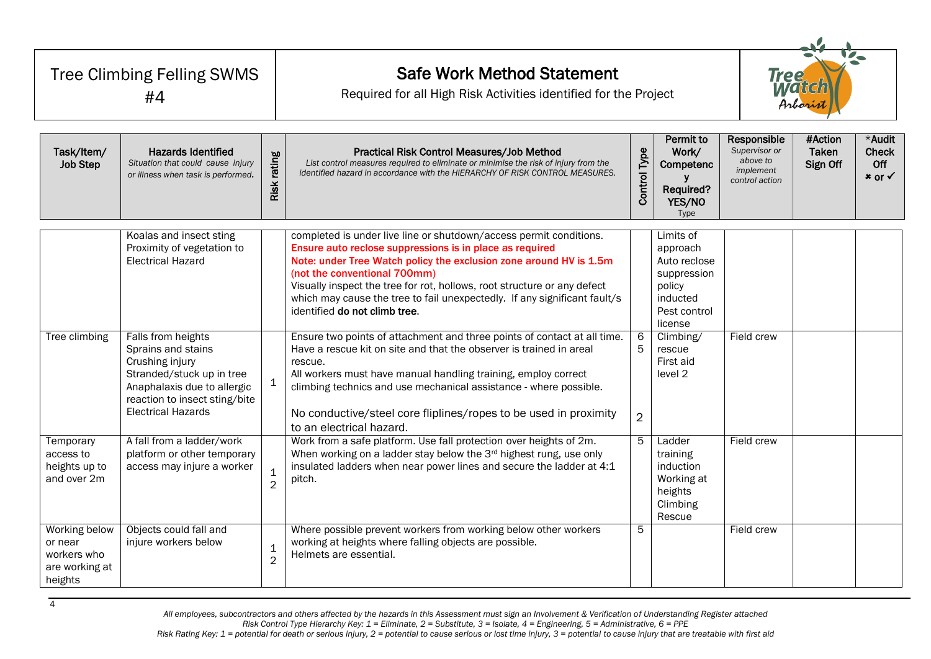| <b>Tree Climbing Felling SWMS</b><br>#4                              |                                                                                                                                                                                       |                               | <b>Safe Work Method Statement</b><br>Required for all High Risk Activities identified for the Project                                                                                                                                                                                                                                                                                                                          |                     | <b>Tree</b><br><i>WA'GK</i><br>Arboris                                                                |                                                                         |                              |                                         |
|----------------------------------------------------------------------|---------------------------------------------------------------------------------------------------------------------------------------------------------------------------------------|-------------------------------|--------------------------------------------------------------------------------------------------------------------------------------------------------------------------------------------------------------------------------------------------------------------------------------------------------------------------------------------------------------------------------------------------------------------------------|---------------------|-------------------------------------------------------------------------------------------------------|-------------------------------------------------------------------------|------------------------------|-----------------------------------------|
| Task/Item/<br><b>Job Step</b>                                        | <b>Hazards Identified</b><br>Situation that could cause injury<br>or illness when task is performed.                                                                                  | Risk rating                   | Practical Risk Control Measures/Job Method<br>List control measures required to eliminate or minimise the risk of injury from the<br>identified hazard in accordance with the HIERARCHY OF RISK CONTROL MEASURES.                                                                                                                                                                                                              | <b>Control Type</b> | <b>Permit to</b><br>Work/<br>Competenc<br>y<br>Required?<br>YES/NO<br>Type                            | Responsible<br>Supervisor or<br>above to<br>implement<br>control action | #Action<br>Taken<br>Sign Off | *Audit<br><b>Check</b><br>Off<br>× or √ |
|                                                                      | Koalas and insect sting<br>Proximity of vegetation to<br><b>Electrical Hazard</b>                                                                                                     |                               | completed is under live line or shutdown/access permit conditions.<br>Ensure auto reclose suppressions is in place as required<br>Note: under Tree Watch policy the exclusion zone around HV is 1.5m<br>(not the conventional 700mm)<br>Visually inspect the tree for rot, hollows, root structure or any defect<br>which may cause the tree to fail unexpectedly. If any significant fault/s<br>identified do not climb tree. |                     | Limits of<br>approach<br>Auto reclose<br>suppression<br>policy<br>inducted<br>Pest control<br>license |                                                                         |                              |                                         |
| Tree climbing                                                        | Falls from heights<br>Sprains and stains<br>Crushing injury<br>Stranded/stuck up in tree<br>Anaphalaxis due to allergic<br>reaction to insect sting/bite<br><b>Electrical Hazards</b> | $\mathbf{1}$                  | Ensure two points of attachment and three points of contact at all time.<br>Have a rescue kit on site and that the observer is trained in areal<br>rescue.<br>All workers must have manual handling training, employ correct<br>climbing technics and use mechanical assistance - where possible.<br>No conductive/steel core fliplines/ropes to be used in proximity<br>to an electrical hazard.                              | 5<br>$\overline{2}$ | Climbing/<br>rescue<br>First aid<br>level 2                                                           | Field crew                                                              |                              |                                         |
| Temporary<br>access to<br>heights up to<br>and over 2m               | A fall from a ladder/work<br>platform or other temporary<br>access may injure a worker                                                                                                | $\mathbf 1$<br>$\overline{2}$ | Work from a safe platform. Use fall protection over heights of 2m.<br>When working on a ladder stay below the 3rd highest rung, use only<br>insulated ladders when near power lines and secure the ladder at 4:1<br>pitch.                                                                                                                                                                                                     | 5                   | Ladder<br>training<br>induction<br>Working at<br>heights<br>Climbing<br>Rescue                        | Field crew                                                              |                              |                                         |
| Working below<br>or near<br>workers who<br>are working at<br>heights | Objects could fall and<br>injure workers below                                                                                                                                        | $\mathbf 1$<br>$\overline{2}$ | Where possible prevent workers from working below other workers<br>working at heights where falling objects are possible.<br>Helmets are essential.                                                                                                                                                                                                                                                                            | 5                   |                                                                                                       | Field crew                                                              |                              |                                         |

4

*All employees, subcontractors and others affected by the hazards in this Assessment must sign an Involvement & Verification of Understanding Register attached Risk Control Type Hierarchy Key: 1 = Eliminate, 2 = Substitute, 3 = Isolate, 4 = Engineering, 5 = Administrative, 6 = PPE*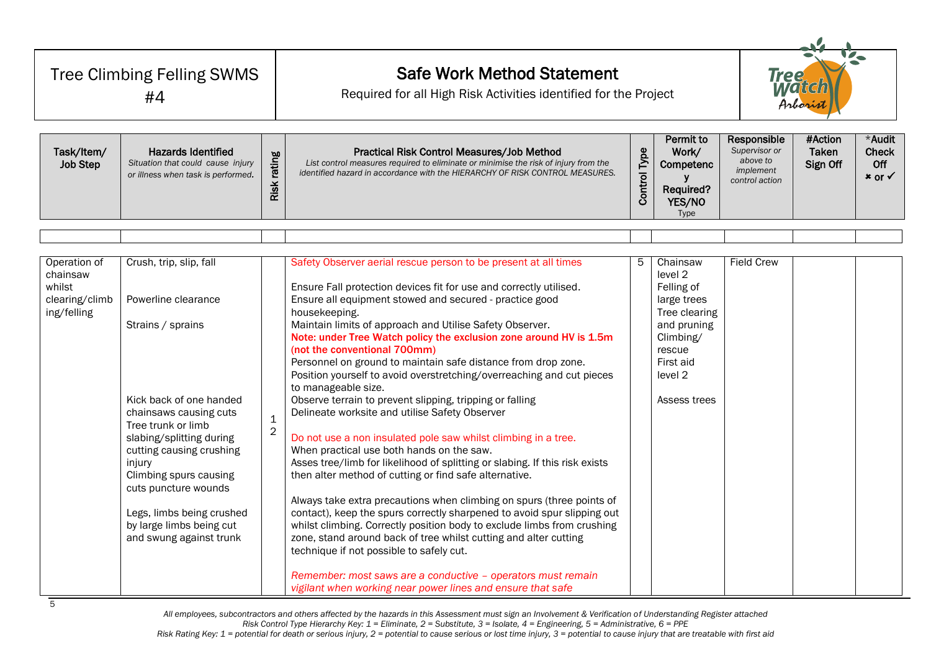| Tree Climbing Felling SWMS<br>#4                                    |                                                                                                                                                                                                                                                                                                                                                        |                               | <b>Safe Work Method Statement</b><br>Required for all High Risk Activities identified for the Project                                                                                                                                                                                                                                                                                                                                                                                                                                                                                                                                                                                                                                                                                                                                                                                                                                                                                                                                                                                                                                                                                                                                                                                                                                                                                                    |                     |                                                                                                                                                 |                                                                         | <b>Tree</b><br><b>Matcl</b><br>Arborin |                                         |  |
|---------------------------------------------------------------------|--------------------------------------------------------------------------------------------------------------------------------------------------------------------------------------------------------------------------------------------------------------------------------------------------------------------------------------------------------|-------------------------------|----------------------------------------------------------------------------------------------------------------------------------------------------------------------------------------------------------------------------------------------------------------------------------------------------------------------------------------------------------------------------------------------------------------------------------------------------------------------------------------------------------------------------------------------------------------------------------------------------------------------------------------------------------------------------------------------------------------------------------------------------------------------------------------------------------------------------------------------------------------------------------------------------------------------------------------------------------------------------------------------------------------------------------------------------------------------------------------------------------------------------------------------------------------------------------------------------------------------------------------------------------------------------------------------------------------------------------------------------------------------------------------------------------|---------------------|-------------------------------------------------------------------------------------------------------------------------------------------------|-------------------------------------------------------------------------|----------------------------------------|-----------------------------------------|--|
| Task/Item/<br><b>Job Step</b>                                       | <b>Hazards Identified</b><br>Situation that could cause injury<br>or illness when task is performed.                                                                                                                                                                                                                                                   | Risk rating                   | Practical Risk Control Measures/Job Method<br>List control measures required to eliminate or minimise the risk of injury from the<br>identified hazard in accordance with the HIERARCHY OF RISK CONTROL MEASURES.                                                                                                                                                                                                                                                                                                                                                                                                                                                                                                                                                                                                                                                                                                                                                                                                                                                                                                                                                                                                                                                                                                                                                                                        | <b>Control Type</b> | Permit to<br>Work/<br>Competenc<br>Required?<br>YES/NO<br>Type                                                                                  | Responsible<br>Supervisor or<br>above to<br>implement<br>control action | #Action<br>Taken<br>Sign Off           | *Audit<br><b>Check</b><br>Off<br>× or √ |  |
|                                                                     |                                                                                                                                                                                                                                                                                                                                                        |                               |                                                                                                                                                                                                                                                                                                                                                                                                                                                                                                                                                                                                                                                                                                                                                                                                                                                                                                                                                                                                                                                                                                                                                                                                                                                                                                                                                                                                          |                     |                                                                                                                                                 |                                                                         |                                        |                                         |  |
| Operation of<br>chainsaw<br>whilst<br>clearing/climb<br>ing/felling | Crush, trip, slip, fall<br>Powerline clearance<br>Strains / sprains<br>Kick back of one handed<br>chainsaws causing cuts<br>Tree trunk or limb<br>slabing/splitting during<br>cutting causing crushing<br>injury<br>Climbing spurs causing<br>cuts puncture wounds<br>Legs, limbs being crushed<br>by large limbs being cut<br>and swung against trunk | $\mathbf 1$<br>$\overline{c}$ | Safety Observer aerial rescue person to be present at all times<br>Ensure Fall protection devices fit for use and correctly utilised.<br>Ensure all equipment stowed and secured - practice good<br>housekeeping.<br>Maintain limits of approach and Utilise Safety Observer.<br>Note: under Tree Watch policy the exclusion zone around HV is 1.5m<br>(not the conventional 700mm)<br>Personnel on ground to maintain safe distance from drop zone.<br>Position yourself to avoid overstretching/overreaching and cut pieces<br>to manageable size.<br>Observe terrain to prevent slipping, tripping or falling<br>Delineate worksite and utilise Safety Observer<br>Do not use a non insulated pole saw whilst climbing in a tree.<br>When practical use both hands on the saw.<br>Asses tree/limb for likelihood of splitting or slabing. If this risk exists<br>then alter method of cutting or find safe alternative.<br>Always take extra precautions when climbing on spurs (three points of<br>contact), keep the spurs correctly sharpened to avoid spur slipping out<br>whilst climbing. Correctly position body to exclude limbs from crushing<br>zone, stand around back of tree whilst cutting and alter cutting<br>technique if not possible to safely cut.<br>Remember: most saws are a conductive - operators must remain<br>vigilant when working near power lines and ensure that safe | 5                   | Chainsaw<br>level 2<br>Felling of<br>large trees<br>Tree clearing<br>and pruning<br>Climbing/<br>rescue<br>First aid<br>level 2<br>Assess trees | <b>Field Crew</b>                                                       |                                        |                                         |  |

*All employees, subcontractors and others affected by the hazards in this Assessment must sign an Involvement & Verification of Understanding Register attached Risk Control Type Hierarchy Key: 1 = Eliminate, 2 = Substitute, 3 = Isolate, 4 = Engineering, 5 = Administrative, 6 = PPE*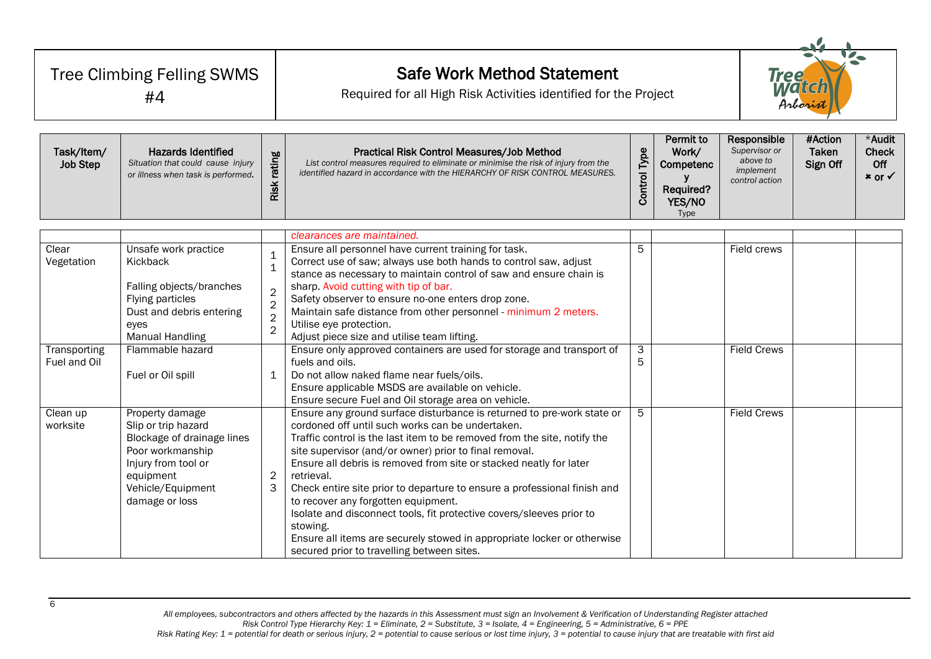| Tree Climbing Felling SWMS<br>#4 |                                                                                                                                                                     |                                                                                                     | <b>Safe Work Method Statement</b><br><b>Tree</b><br>Watch<br>Required for all High Risk Activities identified for the Project<br>Arborist                                                                                                                                                                                                                                                                                                                                                                                                                                                                                                                                            |                                                                         |                              |                                         |  |  |
|----------------------------------|---------------------------------------------------------------------------------------------------------------------------------------------------------------------|-----------------------------------------------------------------------------------------------------|--------------------------------------------------------------------------------------------------------------------------------------------------------------------------------------------------------------------------------------------------------------------------------------------------------------------------------------------------------------------------------------------------------------------------------------------------------------------------------------------------------------------------------------------------------------------------------------------------------------------------------------------------------------------------------------|-------------------------------------------------------------------------|------------------------------|-----------------------------------------|--|--|
| Task/Item/<br><b>Job Step</b>    | <b>Hazards Identified</b><br>Situation that could cause injury<br>or illness when task is performed.                                                                | <b>Control Type</b>                                                                                 | Permit to<br>Work/<br>Competenc<br>У<br>Required?<br>YES/NO<br>Type                                                                                                                                                                                                                                                                                                                                                                                                                                                                                                                                                                                                                  | Responsible<br>Supervisor or<br>above to<br>implement<br>control action | #Action<br>Taken<br>Sign Off | *Audit<br><b>Check</b><br>Off<br>× or √ |  |  |
| Clear                            | Unsafe work practice                                                                                                                                                |                                                                                                     | clearances are maintained.<br>Ensure all personnel have current training for task.                                                                                                                                                                                                                                                                                                                                                                                                                                                                                                                                                                                                   | 5                                                                       |                              | Field crews                             |  |  |
| Vegetation                       | Kickback<br>Falling objects/branches<br>Flying particles<br>Dust and debris entering<br>eyes<br><b>Manual Handling</b>                                              | $\mathbf 1$<br>$\mathbf{1}$<br>$\overline{2}$<br>$\overline{2}$<br>$\overline{2}$<br>$\overline{2}$ | Correct use of saw; always use both hands to control saw, adjust<br>stance as necessary to maintain control of saw and ensure chain is<br>sharp. Avoid cutting with tip of bar.<br>Safety observer to ensure no-one enters drop zone.<br>Maintain safe distance from other personnel - minimum 2 meters.<br>Utilise eye protection.<br>Adjust piece size and utilise team lifting.                                                                                                                                                                                                                                                                                                   |                                                                         |                              |                                         |  |  |
| Transporting<br>Fuel and Oil     | Flammable hazard<br>Fuel or Oil spill                                                                                                                               | $\mathbf 1$                                                                                         | Ensure only approved containers are used for storage and transport of<br>fuels and oils.<br>Do not allow naked flame near fuels/oils.<br>Ensure applicable MSDS are available on vehicle.<br>Ensure secure Fuel and Oil storage area on vehicle.                                                                                                                                                                                                                                                                                                                                                                                                                                     | 3<br>5                                                                  |                              | <b>Field Crews</b>                      |  |  |
| Clean up<br>worksite             | Property damage<br>Slip or trip hazard<br>Blockage of drainage lines<br>Poor workmanship<br>Injury from tool or<br>equipment<br>Vehicle/Equipment<br>damage or loss | 2<br>3                                                                                              | Ensure any ground surface disturbance is returned to pre-work state or<br>cordoned off until such works can be undertaken.<br>Traffic control is the last item to be removed from the site, notify the<br>site supervisor (and/or owner) prior to final removal.<br>Ensure all debris is removed from site or stacked neatly for later<br>retrieval.<br>Check entire site prior to departure to ensure a professional finish and<br>to recover any forgotten equipment.<br>Isolate and disconnect tools, fit protective covers/sleeves prior to<br>stowing.<br>Ensure all items are securely stowed in appropriate locker or otherwise<br>secured prior to travelling between sites. | 5                                                                       |                              | <b>Field Crews</b>                      |  |  |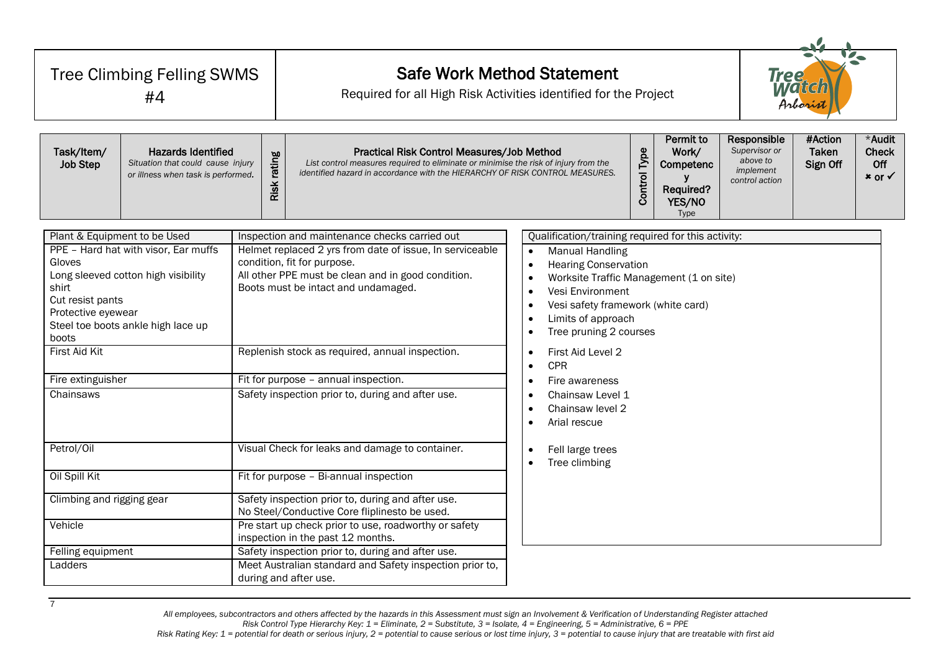| Tree Climbing Felling SWMS<br>#4                                                                                                                             |                                                                                                                   |             | <b>Safe Work Method Statement</b><br><b>Tree</b><br>Watch<br>Required for all High Risk Activities identified for the Project<br>Arborist                                                                                                                                                                                                                                             |                                                                                                                                                                                                                                                                                                                                                                                                                                                                       |                                                                               |                                     |                                                      | $\nabla$ |  |  |  |
|--------------------------------------------------------------------------------------------------------------------------------------------------------------|-------------------------------------------------------------------------------------------------------------------|-------------|---------------------------------------------------------------------------------------------------------------------------------------------------------------------------------------------------------------------------------------------------------------------------------------------------------------------------------------------------------------------------------------|-----------------------------------------------------------------------------------------------------------------------------------------------------------------------------------------------------------------------------------------------------------------------------------------------------------------------------------------------------------------------------------------------------------------------------------------------------------------------|-------------------------------------------------------------------------------|-------------------------------------|------------------------------------------------------|----------|--|--|--|
| Task/Item/<br><b>Job Step</b>                                                                                                                                | <b>Hazards Identified</b><br>Situation that could cause injury<br>or illness when task is performed.              | Risk rating | Practical Risk Control Measures/Job Method<br>List control measures required to eliminate or minimise the risk of injury from the<br>identified hazard in accordance with the HIERARCHY OF RISK CONTROL MEASURES.                                                                                                                                                                     | Permit to<br><b>Control Type</b><br>Work/<br>Competenc<br>۷<br>Required?<br>YES/NO<br>Type                                                                                                                                                                                                                                                                                                                                                                            | Responsible<br>Supervisor or<br>above to<br>implement<br>control action       | #Action<br><b>Taken</b><br>Sign Off | *Audit<br><b>Check</b><br>Off<br>$x$ or $\checkmark$ |          |  |  |  |
| Plant & Equipment to be Used<br>Gloves<br>shirt<br>Cut resist pants<br>Protective eyewear<br>boots<br><b>First Aid Kit</b><br>Fire extinguisher<br>Chainsaws | PPE - Hard hat with visor, Ear muffs<br>Long sleeved cotton high visibility<br>Steel toe boots ankle high lace up |             | Inspection and maintenance checks carried out<br>Helmet replaced 2 yrs from date of issue, In serviceable<br>condition, fit for purpose.<br>All other PPE must be clean and in good condition.<br>Boots must be intact and undamaged.<br>Replenish stock as required, annual inspection.<br>Fit for purpose - annual inspection.<br>Safety inspection prior to, during and after use. | Qualification/training required for this activity:<br><b>Manual Handling</b><br>$\bullet$<br><b>Hearing Conservation</b><br>$\bullet$<br>$\bullet$<br>Vesi Environment<br>$\bullet$<br>$\bullet$<br>Limits of approach<br>$\bullet$<br>Tree pruning 2 courses<br>$\bullet$<br>First Aid Level 2<br>$\bullet$<br><b>CPR</b><br>$\bullet$<br>Fire awareness<br>$\bullet$<br>Chainsaw Level 1<br>$\bullet$<br>Chainsaw level 2<br>$\bullet$<br>Arial rescue<br>$\bullet$ | Worksite Traffic Management (1 on site)<br>Vesi safety framework (white card) |                                     |                                                      |          |  |  |  |
| Petrol/Oil<br>Oil Spill Kit<br>Climbing and rigging gear                                                                                                     |                                                                                                                   |             | Visual Check for leaks and damage to container.<br>Fit for purpose - Bi-annual inspection                                                                                                                                                                                                                                                                                             | Fell large trees<br>$\bullet$<br>Tree climbing                                                                                                                                                                                                                                                                                                                                                                                                                        |                                                                               |                                     |                                                      |          |  |  |  |
|                                                                                                                                                              |                                                                                                                   |             | Safety inspection prior to, during and after use.<br>No Steel/Conductive Core fliplinesto be used.                                                                                                                                                                                                                                                                                    |                                                                                                                                                                                                                                                                                                                                                                                                                                                                       |                                                                               |                                     |                                                      |          |  |  |  |
| Vehicle<br>Pre start up check prior to use, roadworthy or safety<br>inspection in the past 12 months.                                                        |                                                                                                                   |             |                                                                                                                                                                                                                                                                                                                                                                                       |                                                                                                                                                                                                                                                                                                                                                                                                                                                                       |                                                                               |                                     |                                                      |          |  |  |  |
| Felling equipment                                                                                                                                            |                                                                                                                   |             | Safety inspection prior to, during and after use.                                                                                                                                                                                                                                                                                                                                     |                                                                                                                                                                                                                                                                                                                                                                                                                                                                       |                                                                               |                                     |                                                      |          |  |  |  |
| Ladders                                                                                                                                                      |                                                                                                                   |             | Meet Australian standard and Safety inspection prior to,<br>during and after use.                                                                                                                                                                                                                                                                                                     |                                                                                                                                                                                                                                                                                                                                                                                                                                                                       |                                                                               |                                     |                                                      |          |  |  |  |

7

*All employees, subcontractors and others affected by the hazards in this Assessment must sign an Involvement & Verification of Understanding Register attached Risk Control Type Hierarchy Key: 1 = Eliminate, 2 = Substitute, 3 = Isolate, 4 = Engineering, 5 = Administrative, 6 = PPE*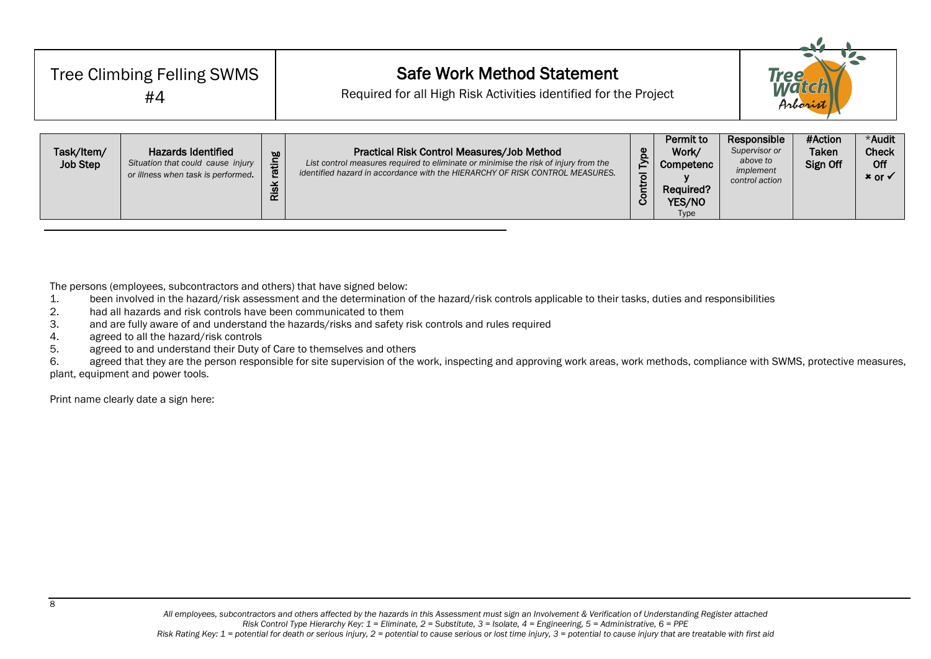| <b>Tree Climbing Felling SWMS</b><br>#4 |                                                                                                      |                       | <b>Safe Work Method Statement</b><br>Required for all High Risk Activities identified for the Project                                                                                                             |              |                                                                       | Tree                                                                    | Arborist                     |                                                      |
|-----------------------------------------|------------------------------------------------------------------------------------------------------|-----------------------|-------------------------------------------------------------------------------------------------------------------------------------------------------------------------------------------------------------------|--------------|-----------------------------------------------------------------------|-------------------------------------------------------------------------|------------------------------|------------------------------------------------------|
| Task/Item/<br><b>Job Step</b>           | <b>Hazards Identified</b><br>Situation that could cause injury<br>or illness when task is performed. | rating<br><b>Risk</b> | Practical Risk Control Measures/Job Method<br>List control measures required to eliminate or minimise the risk of injury from the<br>identified hazard in accordance with the HIERARCHY OF RISK CONTROL MEASURES. | Control Type | Permit to<br>Work/<br>Competenc<br>Required?<br>YES/NO<br><b>Type</b> | Responsible<br>Supervisor or<br>above to<br>implement<br>control action | #Action<br>Taken<br>Sign Off | *Audit<br><b>Check</b><br>Off<br>$x$ or $\checkmark$ |

The persons (employees, subcontractors and others) that have signed below:

- 1. been involved in the hazard/risk assessment and the determination of the hazard/risk controls applicable to their tasks, duties and responsibilities<br>2. had all hazards and risk controls have been communicated to them
- had all hazards and risk controls have been communicated to them
- 3. and are fully aware of and understand the hazards/risks and safety risk controls and rules required
- 4. agreed to all the hazard/risk controls
- 5. agreed to and understand their Duty of Care to themselves and others

6. agreed that they are the person responsible for site supervision of the work, inspecting and approving work areas, work methods, compliance with SWMS, protective measures, plant, equipment and power tools.

Print name clearly date a sign here: